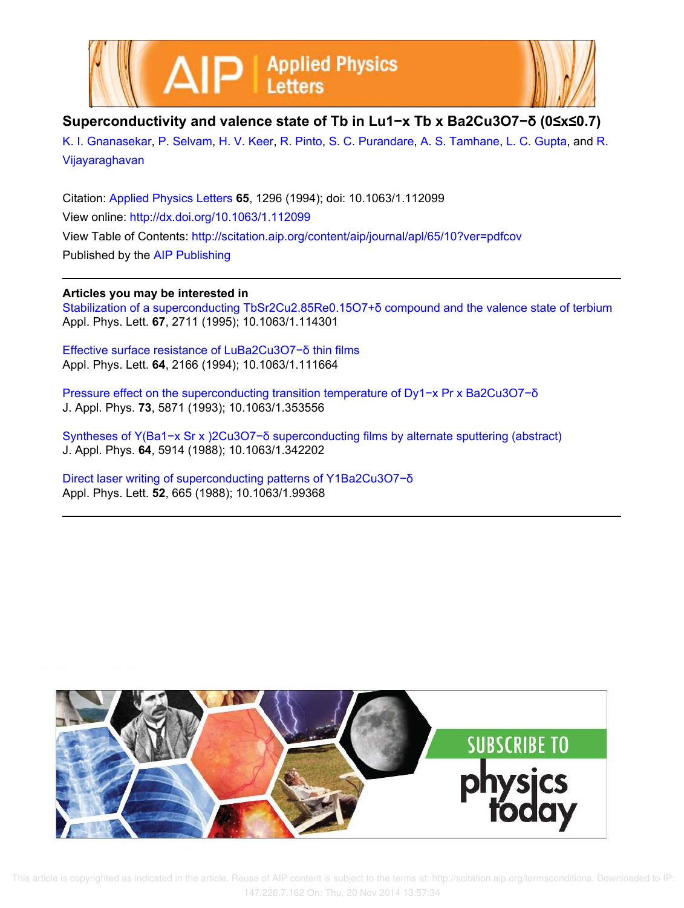



## **Superconductivity and valence state of Tb in Lu1−x Tb x Ba2Cu3O7−δ (0≤x≤0.7)**

K. I. Gnanasekar, P. Selvam, H. V. Keer, R. Pinto, S. C. Purandare, A. S. Tamhane, L. C. Gupta, and R. Vijayaraghavan

Citation: Applied Physics Letters **65**, 1296 (1994); doi: 10.1063/1.112099 View online: http://dx.doi.org/10.1063/1.112099 View Table of Contents: http://scitation.aip.org/content/aip/journal/apl/65/10?ver=pdfcov Published by the AIP Publishing

## **Articles you may be interested in**

Stabilization of a superconducting TbSr2Cu2.85Re0.15O7+δ compound and the valence state of terbium Appl. Phys. Lett. **67**, 2711 (1995); 10.1063/1.114301

Effective surface resistance of LuBa2Cu3O7−δ thin films Appl. Phys. Lett. **64**, 2166 (1994); 10.1063/1.111664

Pressure effect on the superconducting transition temperature of Dy1−x Pr x Ba2Cu3O7−õ J. Appl. Phys. **73**, 5871 (1993); 10.1063/1.353556

Syntheses of Y(Ba1−x Sr x )2Cu3O7−δ superconducting films by alternate sputtering (abstract) J. Appl. Phys. **64**, 5914 (1988); 10.1063/1.342202

Direct laser writing of superconducting patterns of Y1Ba2Cu3O7−δ Appl. Phys. Lett. **52**, 665 (1988); 10.1063/1.99368



 This article is copyrighted as indicated in the article. Reuse of AIP content is subject to the terms at: http://scitation.aip.org/termsconditions. Downloaded to IP: 147.226.7.162 On: Thu, 20 Nov 2014 13:57:34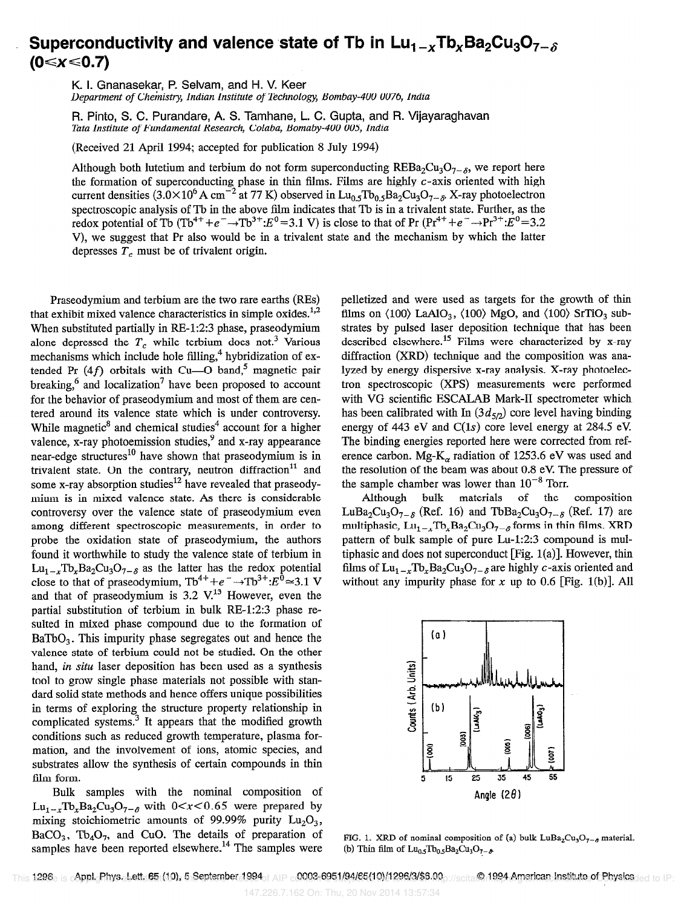## Superconductivity and valence state of Tb in  $Lu_{1-x}Tb_xBa_2Cu_3O_{7-\delta}$ (0≤x≤0.7)

K. I. Gnanasekar, P. Selvam, and H. V. Keer

Department of Chemistry, Indian Institute of Technology, Bombay-400 0076, India

R. Pinto, S. C. Purandare, A. S. Tamhane, L. C. Gupta, and R. Vijayaraghavan Tata Institute of Fundamental Research, Colaba, Bomaby-400 005, India

(Received 21 April 1994; accepted for publication 8 July 1994)

Although both lutetium and terbium do not form superconducting REBa<sub>2</sub>Cu<sub>3</sub>O<sub>7-6</sub>, we report here the formation of superconducting phase in thin films. Films are highly c-axis oriented with high current densities (3.0×10<sup>6</sup> A cm<sup>-2</sup> at 77 K) observed in Lu<sub>0.5</sub>Tb<sub>0.5</sub>Ba<sub>2</sub>Cu<sub>3</sub>O<sub>7- $\delta$ </sub>, X-ray photoelectron spectroscopic analysis of Tb in the above film indicates that Tb is in a trivalent state. Further, as the redox potential of Tb (Tb<sup>4+</sup>+e<sup>-</sup> $\rightarrow$ Tb<sup>3+</sup>: $E^0$ =3.1 V) is close to that of Pr (Pr<sup>4+</sup>+e<sup>-</sup> $\rightarrow$ Pr<sup>3+</sup>: $E^0$ =3.2 V), we suggest that Pr also would be in a trivalent state and the mechanism by which the latter depresses  $T_c$  must be of trivalent origin.

Praseodymium and terbium are the two rare earths (REs) that exhibit mixed valence characteristics in simple oxides. $1,2$ When substituted partially in RE-1:2:3 phase, praseodymium alone depressed the  $T_c$  while terbium does not.<sup>3</sup> Various mechanisms which include hole filling,<sup>4</sup> hybridization of extended Pr  $(4f)$  orbitals with Cu-O band,<sup>5</sup> magnetic pair breaking, $6$  and localization<sup>7</sup> have been proposed to account for the behavior of praseodymium and most of them are centered around its valence state which is under controversy. While magnetic<sup>8</sup> and chemical studies<sup>4</sup> account for a higher valence,  $x$ -ray photoemission studies,  $9$  and  $x$ -ray appearance near-edge structures<sup>10</sup> have shown that praseodymium is in trivalent state. On the contrary, neutron diffraction $11$  and some x-ray absorption studies<sup>12</sup> have revealed that praseodymium is in mixed valence state. As there is considerable controversy over the valence state of praseodymium even among different spectroscopic measurements, in order to probe the oxidation state of praseodymium, the authors found it worthwhile to study the valence state of terbium in  $Lu_{1-x}Tb_{x}Ba_{2}Cu_{3}O_{7-\delta}$  as the latter has the redox potential close to that of praseodymium,  $\text{Tb}^{4+}+e^- \rightarrow \text{Tb}^{3+} : E^{\dot{0}} \approx 3.1 \text{ V}$ and that of praseodymium is  $3.2 \text{ V}^{13}$  However, even the partial substitution of terbium in bulk RE-1:2:3 phase resulted in mixed phase compound due to the formation of  $BaTbO<sub>3</sub>$ . This impurity phase segregates out and hence the valence state of terbium could not be studied. On the other hand, in situ laser deposition has been used as a synthesis tool to grow single phase materials not possible with standard solid state methods and hence offers unique possibilities in terms of exploring the structure property relationship in complicated systems.<sup>3</sup> It appears that the modified growth conditions such as reduced growth temperature, plasma formation, and the involvement of ions, atomic species, and substrates allow the synthesis of certain compounds in thin film form.

Bulk samples with the nominal composition of  $\text{Lu}_{1-x} \text{To}_{x} \text{Ba}_{2} \text{Cu}_{3} \text{O}_{7-\delta}$  with  $0 < x < 0.65$  were prepared by mixing stoichiometric amounts of 99.99% purity  $Lu_2O_3$ ,  $BaCO<sub>3</sub>$ , Tb<sub>4</sub>O<sub>7</sub>, and CuO. The details of preparation of samples have been reported elsewhere.<sup>14</sup> The samples were

pelletized and were used as targets for the growth of thin films on  $\langle 100 \rangle$  LaAlO<sub>3</sub>,  $\langle 100 \rangle$  MgO, and  $\langle 100 \rangle$  SrTiO<sub>3</sub> substrates by pulsed laser deposition technique that has been described elsewhere.<sup>15</sup> Films were characterized by x-ray diffraction (XRD) technique and the composition was analyzed by energy dispersive x-ray analysis. X-ray photoelectron spectroscopic (XPS) measurements were performed with VG scientific ESCALAB Mark-II spectrometer which has been calibrated with In  $(3d_{5/2})$  core level having binding energy of 443 eV and  $C(1s)$  core level energy at 284.5 eV. The binding energies reported here were corrected from reference carbon. Mg- $K_{\alpha}$  radiation of 1253.6 eV was used and the resolution of the beam was about 0.8 eV. The pressure of the sample chamber was lower than  $10^{-8}$  Torr.

Although bulk materials of the composition LuBa<sub>2</sub>Cu<sub>3</sub>O<sub>7- $\delta$ </sub> (Ref. 16) and TbBa<sub>2</sub>Cu<sub>3</sub>O<sub>7- $\delta$ </sub> (Ref. 17) are multiphasic,  $Lu_{1-x}Tb_xBa_2Cu_3O_{7-\delta}$  forms in thin films. XRD pattern of bulk sample of pure Lu-1:2:3 compound is multiphasic and does not superconduct [Fig. l(a)]. However, thin films of  $\text{Lu}_{1-x} \text{Tv}_{x} \text{Ba}_{2} \text{Cu}_{3} \text{O}_{7-\delta}$  are highly c-axis oriented and without any impurity phase for x up to 0.6 [Fig. 1(b)]. All



FIG. 1. XRD of nominal composition of (a) bulk  $LuBa<sub>2</sub>Cu<sub>3</sub>O<sub>7-6</sub>$  material. (b) Thin film of  $\text{Lu}_{0.5} \text{Tb}_{0.5} \text{Ba}_2 \text{Cu}_3 \text{O}_{7-\delta}$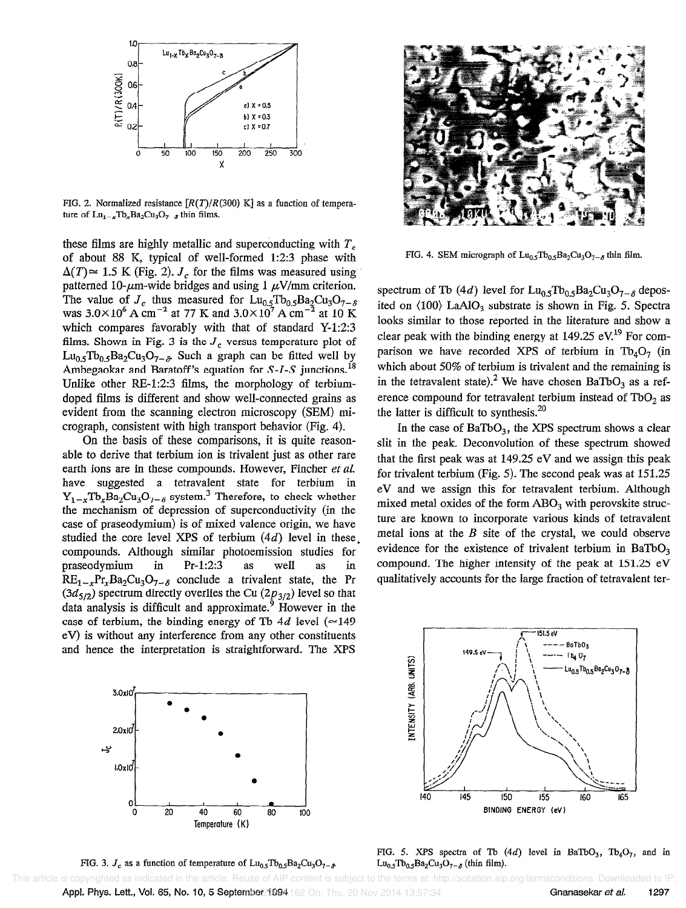

FIG. 2. Normalized resistance  $[R(T)/R(300)$  K] as a function of temperature of  $\text{Lu}_{1-x} \text{To}_{x} \text{Ba}_{2} \text{Cu}_{3} \text{O}_{7-x}$  thin films.

these films are highly metallic and superconducting with  $T<sub>c</sub>$ of about 88 K, typical of well-formed 1:2:3 phase with  $\Delta(T) \approx 1.5$  K (Fig. 2). J<sub>c</sub> for the films was measured using patterned 10- $\mu$ m-wide bridges and using 1  $\mu$ V/mm criterion. The value of  $J_c$  thus measured for  $\text{Lu}_{0.5}\text{Tb}_{0.5}\text{Ba}_2\text{Cu}_3\text{O}_{7-\delta}$ was  $3.0\times10^6$  A cm<sup>-2</sup> at 77 K and  $3.0\times10^7$  A cm<sup>-2</sup> at 10 K which compares favorably with that of standard Y-1:2:3 films. Shown in Fig. 3 is the  $J_c$  versus temperature plot of  $Lu_{0.5}Tb_{0.5}Ba_2Cu_3O_{7-\delta}$  Such a graph can be fitted well by Ambegaokar and Baratoff's equation for  $S$ -*I*-S junctions.<sup>18</sup> Unlike other  $RE-1:2:3$  films, the morphology of terbiumdoped films is different and show well-connected grains as evident from the scanning electron microscopy (SEM) micrograph, consistent with high transport behavior (Fig. 4).

On the basis of these comparisons, it is quite reasonable to derive that terbium ion is trivalent just as other rare earth ions are in these compounds. However, Fincher et al. have suggested a tetravalent state for terbium in  $Y_{1-x}Tb_{x}Ba_{2}Cu_{3}O_{7-\delta}$  system.<sup>3</sup> Therefore, to check whether the mechanism of depression of superconductivity (in the case of praseodymium) is of mixed valence origin, we have studied the core level XPS of terbium  $(4d)$  level in these, compounds. Although similar photoemission studies for praseodymium in Pr-1:2:3 as well as in  $RE_{1-r}Pr_{r}Ba_{2}Cu_{3}O_{7-\delta}$  conclude a trivalent state, the Pr  $(3d_{5/2})$  spectrum directly overlies the Cu  $(2p_{3/2})$  level so that data analysis is difficult and approximate.<sup>9</sup> However in the case of terbium, the binding energy of Tb 4d level ( $\simeq$ 149 eV) is without any interference from any other constituents and hence the interpretation is straightforward. The XPS



FIG. 4. SEM micrograph of  $Lu_0$ ,  $Tb_0$ ,  $Ba_2Cu_3O_{7-\delta}$  thin film.

spectrum of Tb (4d) level for  $\text{Lu}_{0.5}\text{Tu}_{0.5}\text{Ba}_{2}\text{Cu}_{3}\text{O}_{7-\delta}$  deposited on  $(100)$  LaAlO<sub>3</sub> substrate is shown in Fig. 5. Spectra looks similar to those reported in the literature and show a clear peak with the binding energy at 149.25 eV.<sup>19</sup> For comparison we have recorded XPS of terbium in  $Tb_4O_7$  (in which about 50% of terbium is trivalent and the remaining is in the tetravalent state).<sup>2</sup> We have chosen BaTbO<sub>3</sub> as a reference compound for tetravalent terbium instead of  $TbO<sub>2</sub>$  as the latter is difficult to synthesis. $20$ 

In the case of  $BaTbO<sub>3</sub>$ , the XPS spectrum shows a clear slit in the peak. Deconvolution of these spectrum showed that the first peak was at 149.25 eV and we assign this peak for trivalent terbium (Fig. 5). The second peak was at 151.25 eV and we assign this for tetravalent terbium. Although mixed metal oxides of the form  $ABO<sub>3</sub>$  with perovskite structure are known to incorporate various kinds of tetravalent metal ions at the  $B$  site of the crystal, we could observe evidence for the existence of trivalent terbium in  $BaTbO<sub>3</sub>$ compound. The higher intensity of the peak at 151.25 eV qualitatively accounts for the large fraction of tetravalent ter-



FIG. 3.  $J_c$  as a function of temperature of  $\text{Lu}_{0.5}\text{Tb}_{0.5}\text{Ba}_2\text{Cu}_3\text{O}_{7-\delta}$ 



FIG. 5. XPS spectra of Tb  $(4d)$  level in BaTbO<sub>3</sub>, Tb<sub>4</sub>O<sub>7</sub>, and in  $Lu_{0.5}Tb_{0.5}Ba_2Cu_3O_{7-\delta}$  (thin film).

**Appl. Phys. Lett., Vol. 65, No. 10, 5 September 1994** 162 On: Thu, 20 Nov 2014 13:57:34 This article is copyrighted as indicated in the article. Reuse of AIP content is subject to the terms at: http://scitation.aip.org/termsconditions. Downloaded to IP: